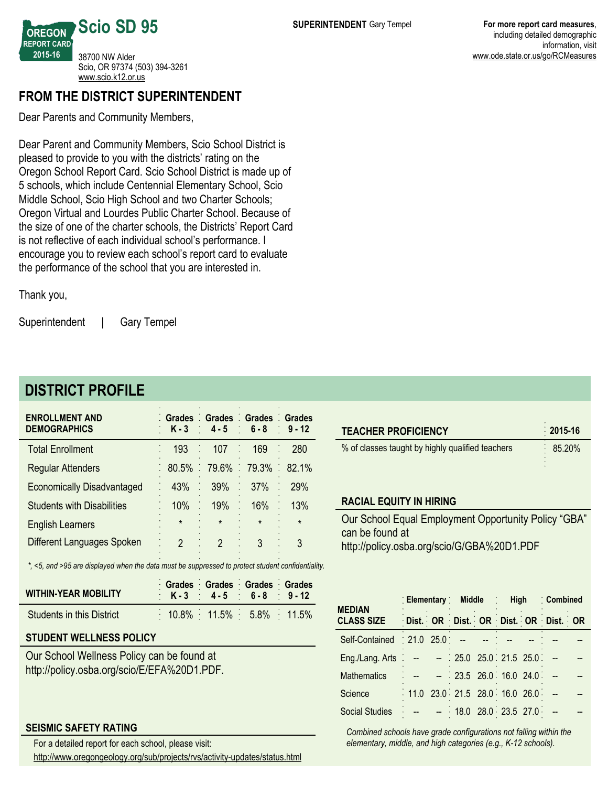**OREGON REPORT CARD 201516** 38700 NW Alder Scio, OR 97374 (503) 394-3261 <www.scio.k12.or.us>

**Scio SD 95**

## **FROM THE DISTRICT SUPERINTENDENT**

Dear Parents and Community Members,

Dear Parent and Community Members, Scio School District is pleased to provide to you with the districts' rating on the Oregon School Report Card. Scio School District is made up of 5 schools, which include Centennial Elementary School, Scio Middle School, Scio High School and two Charter Schools; Oregon Virtual and Lourdes Public Charter School. Because of the size of one of the charter schools, the Districts' Report Card is not reflective of each individual school's performance. I encourage you to review each school's report card to evaluate the performance of the school that you are interested in.

Thank you,

Superintendent | Gary Tempel

# **DISTRICT PROFILE**

| <b>ENROLLMENT AND</b><br><b>DEMOGRAPHICS</b> | Grades Grades Grades Grades | $K-3$ 4-5 6-8 9-12      |           |         |
|----------------------------------------------|-----------------------------|-------------------------|-----------|---------|
| <b>Total Enrollment</b>                      | 193                         | 107                     | ÷,<br>169 | 280     |
| <b>Regular Attenders</b>                     |                             | 80.5% 79.6% 79.3% 82.1% |           |         |
| <b>Economically Disadvantaged</b>            | 43%                         | 39%                     | 37%       | 29%     |
| <b>Students with Disabilities</b>            | 10%                         | 19%                     | 16%       | 13%     |
| <b>English Learners</b>                      | $\star$                     | $\pmb{\star}$           | $\star$   | $\star$ |
| Different Languages Spoken                   | $\mathcal{P}$               | $\mathcal{P}$           | 3         | 3       |

*\*, <5, and >95 are displayed when the data must be suppressed to protect student confidentiality.*

| <b>WITHIN-YEAR MOBILITY</b> | Grades Grades Grades Grades<br>$K - 3$ 4 - 5 6 - 8 9 - 12 |  |
|-----------------------------|-----------------------------------------------------------|--|
| Students in this District   | $10.8\%$ 11.5% 5.8% 11.5%                                 |  |

## **STUDENT WELLNESS POLICY**

Our School Wellness Policy can be found at http://policy.osba.org/scio/E/EFA%20D1.PDF.

### **SEISMIC SAFETY RATING**

For a detailed report for each school, please visit:

http://www.oregongeology.org/sub/projects/rvs/activity-updates/status.html

| <b>TEACHER PROFICIENCY</b>                           | $2015 - 16$ |  |  |  |  |
|------------------------------------------------------|-------------|--|--|--|--|
| % of classes taught by highly qualified teachers     | 85.20%      |  |  |  |  |
|                                                      |             |  |  |  |  |
| <b>RACIAL EQUITY IN HIRING</b>                       |             |  |  |  |  |
| Our School Equal Employment Opportunity Policy "GBA" |             |  |  |  |  |

can be found at http://policy.osba.org/scio/G/GBA%20D1.PDF

| <b>MEDIAN</b>                 | Elementary Middle : High            |  |                         |  |  |  | Combined |  |
|-------------------------------|-------------------------------------|--|-------------------------|--|--|--|----------|--|
| <b>CLASS SIZE</b>             | Dist. OR Dist. OR Dist. OR Dist. OR |  |                         |  |  |  |          |  |
| Self-Contained : 21.0 25.0 :- |                                     |  |                         |  |  |  |          |  |
| Eng./Lang. Arts $\therefore$  |                                     |  | $: 25.0$ 25.0 21.5 25.0 |  |  |  |          |  |
| <b>Mathematics</b>            |                                     |  | $23.5$ 26.0 16.0 24.0   |  |  |  |          |  |
| Science                       | 11.0 23.0 21.5 28.0 16.0 26.0       |  |                         |  |  |  |          |  |
| <b>Social Studies</b>         |                                     |  | $-$ 18.0 28.0 23.5 27.0 |  |  |  |          |  |

*Combined schools have grade configurations not falling within the elementary, middle, and high categories (e.g., K12 schools).*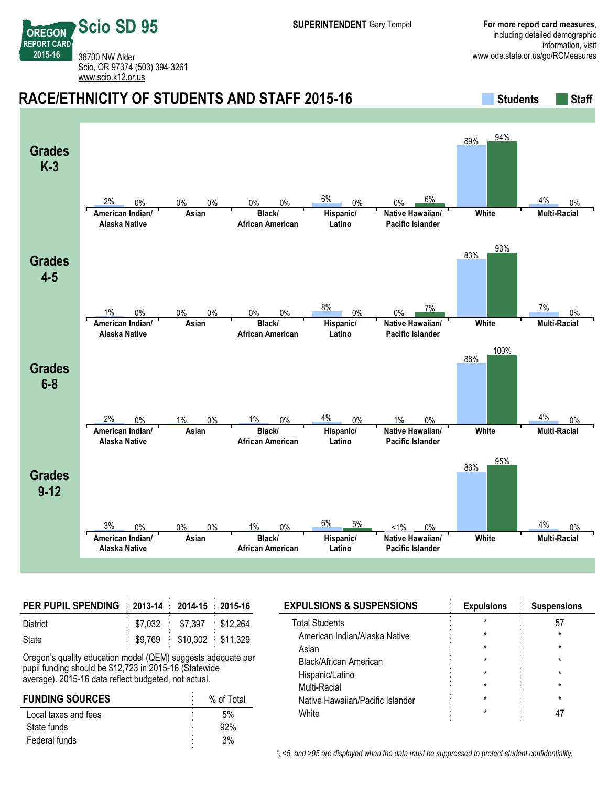**REPORT CARD** 38700 NW Alder Scio, OR 97374 (503) 394-3261 <www.scio.k12.or.us>

**Scio SD 95**

**OREGON**

**201516**

#### **RACE/ETHNICITY OF STUDENTS AND STAFF 2015-16 Students Staff Grades K3 American Indian/ Alaska Native Asian Black/ African American Hispanic/ Latino Native Hawaiian/ Pacific Islander White Multi-Racial** 2% 0% 0% 0% 0% 0% 6% 0% 0% 6% 89% 94%  $4\%$  0% **Grades 45 American Indian/ Alaska Native Asian Black/ African American Hispanic/ Latino Native Hawaiian/ Pacific Islander White Multi-Racial** 1% 0% 0% 0% 0% 0% 8% 0% 0% 7% 83% 93%  $7\%$  0% **Grades** 6-8 **American Indian/ Alaska Native Asian Black/ African American Hispanic/ Latino Native Hawaiian/ Pacific Islander White Multi-Racial** 2% 0% 1% 0% 1% 0% 4% 0% 1% 0% 88% 100%  $4\%$  0% **Grades 912 American Indian/ Alaska Native Asian Black/ African American Hispanic/ Latino Native Hawaiian/ Pacific Islander White Multi-Racial** 3% 0% 0% 0% 1% 0% 6% 5% <1% 0% 86% 95%  $4\%$  0%

| PER PUPIL SPENDING 2013-14 2014-15 2015-16 |                                         |  |
|--------------------------------------------|-----------------------------------------|--|
| District                                   | $$7,032$ $$7,397$ $$12,264$             |  |
| State                                      | $\frac{1}{2}$ \$9,769 \$10,302 \$11,329 |  |

Oregon's quality education model (QEM) suggests adequate per pupil funding should be \$12,723 in 2015-16 (Statewide average). 2015-16 data reflect budgeted, not actual.

| <b>FUNDING SOURCES</b> | % of Total<br>٠ |
|------------------------|-----------------|
| Local taxes and fees   | 5%              |
| State funds            | ٠<br>92%<br>٠   |
| Federal funds          | ۰<br>3%<br>٠    |
|                        |                 |

| <b>EXPULSIONS &amp; SUSPENSIONS</b> | <b>Expulsions</b> | <b>Suspensions</b> |
|-------------------------------------|-------------------|--------------------|
| <b>Total Students</b>               |                   |                    |
| American Indian/Alaska Native       |                   |                    |
| Asian                               |                   |                    |
| Black/African American              |                   |                    |
| Hispanic/Latino                     |                   |                    |
| Multi-Racial                        |                   |                    |
| Native Hawaiian/Pacific Islander    |                   |                    |
| White                               |                   |                    |
|                                     |                   |                    |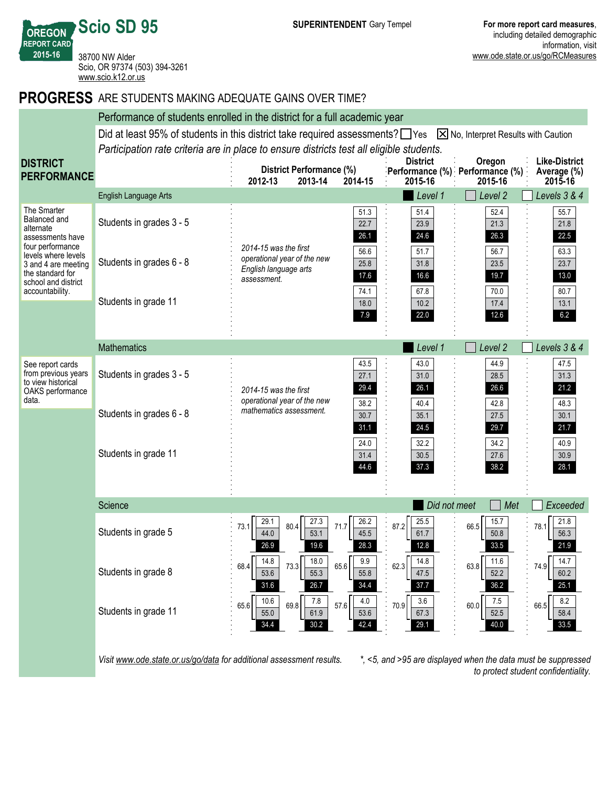**OREGON REPORT CARD Scio SD 95** 38700 NW Alder Scio, OR 97374 (503) 394-3261 <www.scio.k12.or.us>

**201516**

**DI** 

## **PROGRESS** ARE STUDENTS MAKING ADEQUATE GAINS OVER TIME?

|                                                                                                          | Performance of students enrolled in the district for a full academic year                                                    |                                                                                              |                              |                              |                                                      |                                                |  |
|----------------------------------------------------------------------------------------------------------|------------------------------------------------------------------------------------------------------------------------------|----------------------------------------------------------------------------------------------|------------------------------|------------------------------|------------------------------------------------------|------------------------------------------------|--|
|                                                                                                          | Did at least 95% of students in this district take required assessments? TYes $\boxtimes$ No, Interpret Results with Caution |                                                                                              |                              |                              |                                                      |                                                |  |
|                                                                                                          | Participation rate criteria are in place to ensure districts test all eligible students.                                     |                                                                                              |                              |                              |                                                      |                                                |  |
| <b>DISTRICT</b><br><b>PERFORMANCE</b>                                                                    |                                                                                                                              | District Performance (%)<br>2012-13<br>2013-14                                               | 2014-15                      | <b>District</b><br>2015-16   | Oregon<br>Performance (%) Performance (%)<br>2015-16 | <b>Like-District</b><br>Average (%)<br>2015-16 |  |
|                                                                                                          | English Language Arts                                                                                                        |                                                                                              |                              | Level 1                      | Level 2                                              | Levels 3 & 4                                   |  |
| The Smarter<br>Balanced and<br>alternate<br>assessments have<br>four performance                         | Students in grades 3 - 5                                                                                                     |                                                                                              | 51.3<br>22.7<br>26.1         | 51.4<br>23.9<br>24.6         | 52.4<br>21.3<br>26.3                                 | 55.7<br>21.8<br>22.5                           |  |
| levels where levels<br>3 and 4 are meeting<br>the standard for<br>school and district<br>accountability. | Students in grades 6 - 8                                                                                                     | 2014-15 was the first<br>operational year of the new<br>English language arts<br>assessment. | 56.6<br>25.8<br>17.6<br>74.1 | 51.7<br>31.8<br>16.6<br>67.8 | 56.7<br>23.5<br>19.7<br>70.0                         | 63.3<br>23.7<br>13.0<br>80.7                   |  |
|                                                                                                          | Students in grade 11                                                                                                         |                                                                                              | 18.0<br>7.9                  | 10.2<br>22.0                 | 17.4<br>12.6                                         | 13.1<br>6.2                                    |  |
|                                                                                                          | <b>Mathematics</b>                                                                                                           |                                                                                              |                              | Level 1                      | Level 2                                              | Levels 3 & 4                                   |  |
| See report cards<br>from previous years<br>to view historical<br>OAKS performance<br>data.               | Students in grades 3 - 5                                                                                                     | 2014-15 was the first<br>operational year of the new                                         | 43.5<br>27.1<br>29.4         | 43.0<br>31.0<br>26.1         | 44.9<br>28.5<br>26.6                                 | 47.5<br>31.3<br>21.2                           |  |
|                                                                                                          | Students in grades 6 - 8                                                                                                     | mathematics assessment.                                                                      | 38.2<br>30.7<br>31.1         | 40.4<br>35.1<br>24.5         | 42.8<br>27.5<br>29.7                                 | 48.3<br>30.1<br>21.7                           |  |
|                                                                                                          | Students in grade 11                                                                                                         |                                                                                              | 24.0<br>31.4<br>44.6         | 32.2<br>30.5<br>37.3         | 34.2<br>27.6<br>38.2                                 | 40.9<br>30.9<br>28.1                           |  |
|                                                                                                          | Science                                                                                                                      |                                                                                              |                              | Did not meet                 | Met                                                  | Exceeded                                       |  |
|                                                                                                          | Students in grade 5                                                                                                          | 27.3<br>29.1<br>80.4<br>73.1<br>44.0<br>53.1                                                 | 26.2<br>71.7<br>45.5         | 25.5<br>87.2<br>61.7<br>12.8 | 15.7<br>66.5<br>50.8                                 | 21.8<br>78.1<br>56.3<br>21.9                   |  |
|                                                                                                          | Students in grade 8                                                                                                          | 14.8<br>18.0<br>73.3<br>68.4<br>53.6<br>55.3<br>31.6<br>26.7                                 | 9.9<br>65.6<br>55.8<br>34.4  | 14.8<br>62.3<br>47.5<br>37.7 | 11.6<br>63.8<br>52.2<br>36.2                         | 14.7<br>74.9<br>60.2<br>25.1                   |  |
|                                                                                                          | Students in grade 11                                                                                                         | 10.6<br>$7.8$<br>69.8<br>65.6<br>61.9<br>55.0<br>34.4<br>30.2                                | 4.0<br>57.6<br>53.6<br>42.4  | 3.6<br>70.9<br>67.3<br>29.1  | 7.5<br>60.0<br>52.5<br>40.0                          | 8.2<br>66.5<br>58.4<br>33.5                    |  |
|                                                                                                          |                                                                                                                              |                                                                                              |                              |                              |                                                      |                                                |  |

*Visit www.ode.state.or.us/go/data for additional assessment results. \*, <5, and >95 are displayed when the data must be suppressed*

*to protect student confidentiality.*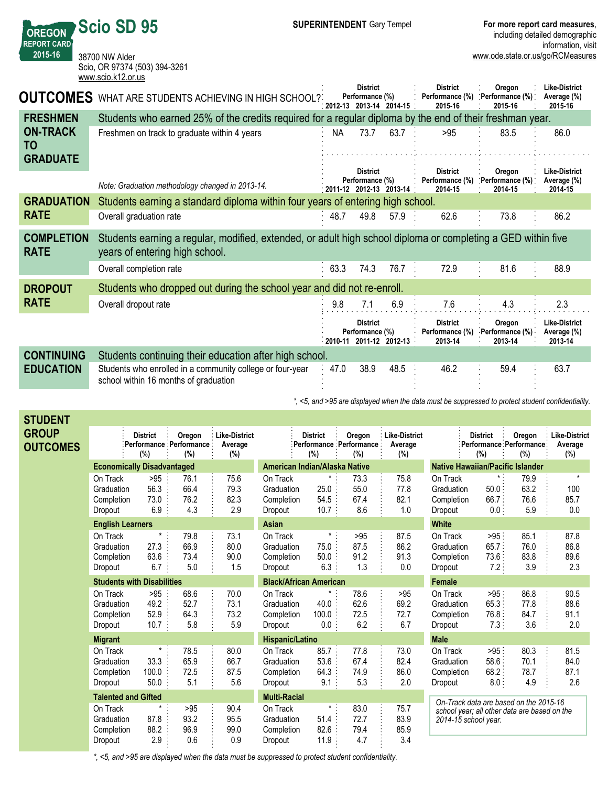**OREGON REPORT CARD 201516 Scio SD 95** 38700 NW Alder Scio, OR 97374 (503) 394-3261 <www.scio.k12.or.us>

**STUDENT**

| <b>OUTCOMES</b>                  | WHAT ARE STUDENTS ACHIEVING IN HIGH SCHOOL?                                                                                                    |      | <b>District</b><br>Performance (%)                            | 2012-13 2013-14 2014-15 | <b>District</b><br>Performance (%)<br>2015-16 | Oregon<br>Performance (%):<br>2015-16 | <b>Like-District</b><br>Average (%)<br>2015-16 |
|----------------------------------|------------------------------------------------------------------------------------------------------------------------------------------------|------|---------------------------------------------------------------|-------------------------|-----------------------------------------------|---------------------------------------|------------------------------------------------|
| <b>FRESHMEN</b>                  | Students who earned 25% of the credits required for a regular diploma by the end of their freshman year.                                       |      |                                                               |                         |                                               |                                       |                                                |
| <b>ON-TRACK</b><br><b>TO</b>     | Freshmen on track to graduate within 4 years                                                                                                   | NA   | 73.7                                                          | 63.7                    | >95                                           | 83.5                                  | 86.0                                           |
| <b>GRADUATE</b>                  |                                                                                                                                                |      | <b>District</b>                                               |                         | <b>District</b>                               | Oregon                                | <b>Like-District</b>                           |
|                                  | Note: Graduation methodology changed in 2013-14.                                                                                               |      | Performance (%)<br>$2011-12$ 2012-13                          | $2013 - 14$             | Performance (%)<br>2014-15                    | Performance (%):<br>2014-15           | Average (%)<br>2014-15                         |
| <b>GRADUATION</b>                | Students earning a standard diploma within four years of entering high school.                                                                 |      |                                                               |                         |                                               |                                       |                                                |
| <b>RATE</b>                      | Overall graduation rate                                                                                                                        | 48.7 | 49.8                                                          | 57.9                    | 62.6                                          | 73.8                                  | 86.2                                           |
| <b>COMPLETION</b><br><b>RATE</b> | Students earning a regular, modified, extended, or adult high school diploma or completing a GED within five<br>years of entering high school. |      |                                                               |                         |                                               |                                       |                                                |
|                                  | Overall completion rate                                                                                                                        | 63.3 | 74.3                                                          | 76.7                    | 72.9                                          | 81.6                                  | 88.9                                           |
| <b>DROPOUT</b>                   | Students who dropped out during the school year and did not re-enroll.                                                                         |      |                                                               |                         |                                               |                                       |                                                |
| <b>RATE</b>                      | Overall dropout rate                                                                                                                           | 9.8  | 7.1                                                           | 6.9                     | 7.6                                           | 4.3                                   | 2.3                                            |
|                                  |                                                                                                                                                |      | <b>District</b><br>Performance (%)<br>2010-11 2011-12 2012-13 |                         | <b>District</b><br>Performance (%)<br>2013-14 | Oregon<br>Performance (%)<br>2013-14  | <b>Like-District</b><br>Average (%)<br>2013-14 |
| <b>CONTINUING</b>                | Students continuing their education after high school.                                                                                         |      |                                                               |                         |                                               |                                       |                                                |
| <b>EDUCATION</b>                 | Students who enrolled in a community college or four-year<br>school within 16 months of graduation                                             | 47.0 | 38.9                                                          | 48.5                    | 46.2                                          | 59.4                                  | 63.7                                           |

*\*, <5, and >95 are displayed when the data must be suppressed to protect student confidentiality.*

| SIUDENI                         |                                                 |                                   |                                                |                                        |                                                 |                                                            |                             |                                        |                                                 |                                      |                                              |                                           |
|---------------------------------|-------------------------------------------------|-----------------------------------|------------------------------------------------|----------------------------------------|-------------------------------------------------|------------------------------------------------------------|-----------------------------|----------------------------------------|-------------------------------------------------|--------------------------------------|----------------------------------------------|-------------------------------------------|
| <b>GROUP</b><br><b>OUTCOMES</b> |                                                 | <b>District</b><br>(%)            | Oregon<br>: Performance : Performance :<br>(%) | <b>Like-District</b><br>Average<br>(%) |                                                 | <b>District</b><br>: Performance : Performance :<br>$(\%)$ | Oregon<br>(%)               | <b>Like-District</b><br>Average<br>(%) |                                                 | <b>District</b><br>(%)               | Oregon<br>Performance Performance<br>(%)     | <b>Like-District</b><br>Average<br>$(\%)$ |
|                                 |                                                 | <b>Economically Disadvantaged</b> |                                                |                                        |                                                 | American Indian/Alaska Native                              |                             |                                        |                                                 |                                      | <b>Native Hawaiian/Pacific Islander</b>      |                                           |
|                                 | On Track<br>Graduation<br>Completion<br>Dropout | >95<br>56.3<br>73.0<br>6.9        | 76.1<br>66.4<br>76.2<br>4.3                    | 75.6<br>79.3<br>82.3<br>2.9            | On Track<br>Graduation<br>Completion<br>Dropout | $^\star$<br>25.0<br>54.5<br>10.7                           | 73.3<br>55.0<br>67.4<br>8.6 | 75.8<br>77.8<br>82.1<br>1.0            | On Track<br>Graduation<br>Completion<br>Dropout | 50.0:<br>66.7:<br>$0.0$ :            | 79.9<br>63.2<br>76.6<br>5.9                  | $\star$<br>100<br>85.7<br>0.0             |
|                                 | <b>English Learners</b>                         |                                   |                                                |                                        | Asian                                           |                                                            |                             |                                        | <b>White</b>                                    |                                      |                                              |                                           |
|                                 | On Track<br>Graduation<br>Completion<br>Dropout | *<br>27.3<br>63.6<br>6.7          | 79.8<br>66.9<br>73.4<br>5.0                    | 73.1<br>80.0<br>90.0<br>1.5            | On Track<br>Graduation<br>Completion<br>Dropout | $\star$ .<br>75.0<br>50.0<br>6.3                           | >95<br>87.5<br>91.2<br>1.3  | 87.5<br>86.2<br>91.3<br>0.0            | On Track<br>Graduation<br>Completion<br>Dropout | $>95$ :<br>65.7:<br>73.6:<br>7.2:    | 85.1<br>76.0<br>83.8<br>3.9                  | 87.8<br>86.8<br>89.6<br>2.3               |
|                                 |                                                 | <b>Students with Disabilities</b> |                                                |                                        |                                                 | <b>Black/African American</b>                              |                             |                                        | Female                                          |                                      |                                              |                                           |
|                                 | On Track<br>Graduation<br>Completion<br>Dropout | >95<br>49.2<br>52.9<br>10.7       | 68.6<br>52.7<br>64.3<br>5.8                    | 70.0<br>73.1<br>73.2<br>5.9            | On Track<br>Graduation<br>Completion<br>Dropout | $^\star$<br>40.0<br>100.0<br>0.0 :                         | 78.6<br>62.6<br>72.5<br>6.2 | > 95<br>69.2<br>72.7<br>6.7            | On Track<br>Graduation<br>Completion<br>Dropout | $>95$ .<br>$65.3$ :<br>76.8.<br>7.3: | 86.8<br>77.8<br>84.7<br>3.6                  | 90.5<br>88.6<br>91.1<br>2.0               |
|                                 | <b>Migrant</b>                                  |                                   |                                                |                                        | Hispanic/Latino                                 |                                                            |                             |                                        | <b>Male</b>                                     |                                      |                                              |                                           |
|                                 | On Track<br>Graduation<br>Completion<br>Dropout | $^\star$<br>33.3<br>100.0<br>50.0 | 78.5<br>65.9<br>72.5<br>5.1                    | 80.0<br>66.7<br>87.5<br>5.6            | On Track<br>Graduation<br>Completion<br>Dropout | 85.7<br>53.6<br>64.3<br>9.1                                | 77.8<br>67.4<br>74.9<br>5.3 | 73.0<br>82.4<br>86.0<br>2.0            | On Track<br>Graduation<br>Completion<br>Dropout | $>95$ :<br>58.6<br>68.2<br>8.0.      | 80.3<br>70.1<br>78.7<br>4.9                  | 81.5<br>84.0<br>87.1<br>2.6               |
|                                 | <b>Talented and Gifted</b>                      |                                   |                                                |                                        | <b>Multi-Racial</b>                             |                                                            |                             |                                        |                                                 |                                      | On-Track data are based on the 2015-16       |                                           |
|                                 | On Track<br>Graduation<br>Completion<br>Dropout | $\star$<br>87.8<br>88.2<br>2.9    | >95<br>93.2<br>96.9<br>0.6                     | 90.4<br>95.5<br>99.0<br>0.9            | On Track<br>Graduation<br>Completion<br>Dropout | $^\star$<br>51.4<br>82.6<br>11.9                           | 83.0<br>72.7<br>79.4<br>4.7 | 75.7<br>83.9<br>85.9<br>3.4            | 2014-15 school year.                            |                                      | school year; all other data are based on the |                                           |
|                                 |                                                 |                                   |                                                |                                        |                                                 |                                                            |                             |                                        |                                                 |                                      |                                              |                                           |

*\*, <5, and >95 are displayed when the data must be suppressed to protect student confidentiality.*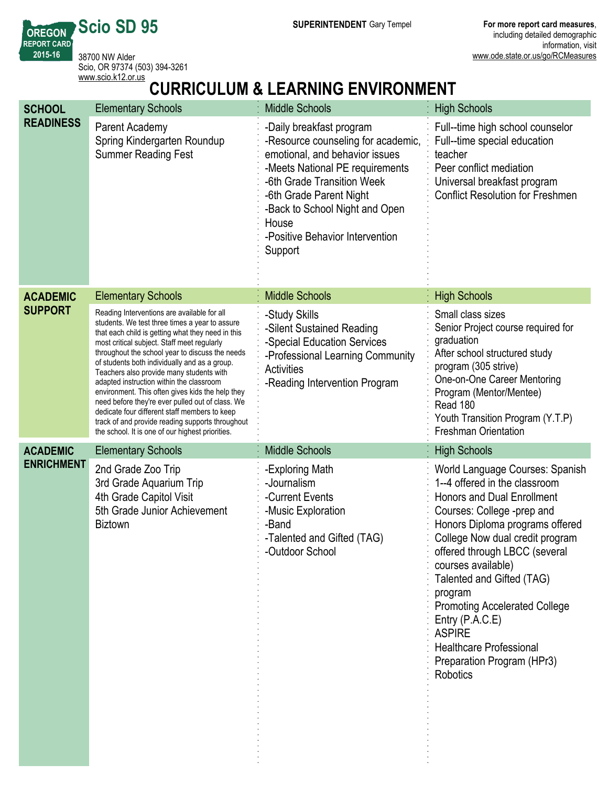**SUPERINTENDENT** Gary Tempel **For more report card measures**,

**REPORT CARD** 38700 NW Alder Scio, OR 97374 (503) 394-3261 <www.scio.k12.or.us>

**Scio SD 95**

**OREGON**

**201516**

# **CURRICULUM & LEARNING ENVIRONMENT**

| <b>SCHOOL</b>     | <b>Elementary Schools</b>                                                                                                                                                                                                                                                                                                                                                                                                                                                                                                                                                                                                                                      | <b>Middle Schools</b>                                                                                                                                                                                                                                                                 | <b>High Schools</b>                                                                                                                                                                                                                                                                                                                                                                                                                                                |
|-------------------|----------------------------------------------------------------------------------------------------------------------------------------------------------------------------------------------------------------------------------------------------------------------------------------------------------------------------------------------------------------------------------------------------------------------------------------------------------------------------------------------------------------------------------------------------------------------------------------------------------------------------------------------------------------|---------------------------------------------------------------------------------------------------------------------------------------------------------------------------------------------------------------------------------------------------------------------------------------|--------------------------------------------------------------------------------------------------------------------------------------------------------------------------------------------------------------------------------------------------------------------------------------------------------------------------------------------------------------------------------------------------------------------------------------------------------------------|
| <b>READINESS</b>  | Parent Academy<br>Spring Kindergarten Roundup<br><b>Summer Reading Fest</b>                                                                                                                                                                                                                                                                                                                                                                                                                                                                                                                                                                                    | -Daily breakfast program<br>-Resource counseling for academic,<br>emotional, and behavior issues<br>-Meets National PE requirements<br>-6th Grade Transition Week<br>-6th Grade Parent Night<br>-Back to School Night and Open<br>House<br>-Positive Behavior Intervention<br>Support | Full--time high school counselor<br>Full--time special education<br>teacher<br>Peer conflict mediation<br>Universal breakfast program<br><b>Conflict Resolution for Freshmen</b>                                                                                                                                                                                                                                                                                   |
| <b>ACADEMIC</b>   | <b>Elementary Schools</b>                                                                                                                                                                                                                                                                                                                                                                                                                                                                                                                                                                                                                                      | <b>Middle Schools</b>                                                                                                                                                                                                                                                                 | <b>High Schools</b>                                                                                                                                                                                                                                                                                                                                                                                                                                                |
| <b>SUPPORT</b>    | Reading Interventions are available for all<br>students. We test three times a year to assure<br>that each child is getting what they need in this<br>most critical subject. Staff meet regularly<br>throughout the school year to discuss the needs<br>of students both individually and as a group.<br>Teachers also provide many students with<br>adapted instruction within the classroom<br>environment. This often gives kids the help they<br>need before they're ever pulled out of class. We<br>dedicate four different staff members to keep<br>track of and provide reading supports throughout<br>the school. It is one of our highest priorities. | -Study Skills<br>-Silent Sustained Reading<br>-Special Education Services<br>-Professional Learning Community<br><b>Activities</b><br>-Reading Intervention Program                                                                                                                   | Small class sizes<br>Senior Project course required for<br>graduation<br>After school structured study<br>program (305 strive)<br>One-on-One Career Mentoring<br>Program (Mentor/Mentee)<br>Read 180<br>Youth Transition Program (Y.T.P)<br><b>Freshman Orientation</b>                                                                                                                                                                                            |
| <b>ACADEMIC</b>   | <b>Elementary Schools</b>                                                                                                                                                                                                                                                                                                                                                                                                                                                                                                                                                                                                                                      | <b>Middle Schools</b>                                                                                                                                                                                                                                                                 | <b>High Schools</b>                                                                                                                                                                                                                                                                                                                                                                                                                                                |
| <b>ENRICHMENT</b> | 2nd Grade Zoo Trip<br>3rd Grade Aquarium Trip<br>4th Grade Capitol Visit<br>5th Grade Junior Achievement<br><b>Biztown</b>                                                                                                                                                                                                                                                                                                                                                                                                                                                                                                                                     | -Exploring Math<br>-Journalism<br>-Current Events<br>-Music Exploration<br>-Band<br>-Talented and Gifted (TAG)<br>-Outdoor School                                                                                                                                                     | World Language Courses: Spanish<br>1--4 offered in the classroom<br>Honors and Dual Enrollment<br>Courses: College -prep and<br>Honors Diploma programs offered<br>College Now dual credit program<br>offered through LBCC (several<br>courses available)<br>Talented and Gifted (TAG)<br>program<br><b>Promoting Accelerated College</b><br>Entry $(P.A.C.E)$<br><b>ASPIRE</b><br><b>Healthcare Professional</b><br>Preparation Program (HPr3)<br><b>Robotics</b> |